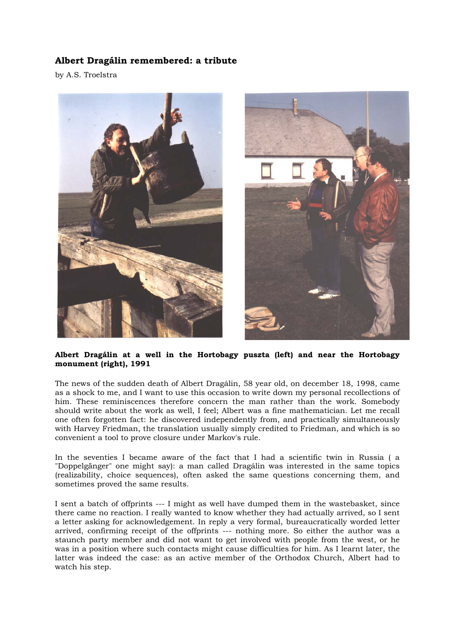## **Albert Dragálin remembered: a tribute**

by A.S. Troelstra



## **Albert Dragálin at a well in the Hortobagy puszta (left) and near the Hortobagy monument (right), 1991**

The news of the sudden death of Albert Dragálin, 58 year old, on december 18, 1998, came as a shock to me, and I want to use this occasion to write down my personal recollections of him. These reminiscences therefore concern the man rather than the work. Somebody should write about the work as well, I feel; Albert was a fine mathematician. Let me recall one often forgotten fact: he discovered independently from, and practically simultaneously with Harvey Friedman, the translation usually simply credited to Friedman, and which is so convenient a tool to prove closure under Markov's rule.

In the seventies I became aware of the fact that I had a scientific twin in Russia ( a "Doppelgänger" one might say): a man called Dragálin was interested in the same topics (realizability, choice sequences), often asked the same questions concerning them, and sometimes proved the same results.

I sent a batch of offprints --- I might as well have dumped them in the wastebasket, since there came no reaction. I really wanted to know whether they had actually arrived, so I sent a letter asking for acknowledgement. In reply a very formal, bureaucratically worded letter arrived, confirming receipt of the offprints --- nothing more. So either the author was a staunch party member and did not want to get involved with people from the west, or he was in a position where such contacts might cause difficulties for him. As I learnt later, the latter was indeed the case: as an active member of the Orthodox Church, Albert had to watch his step.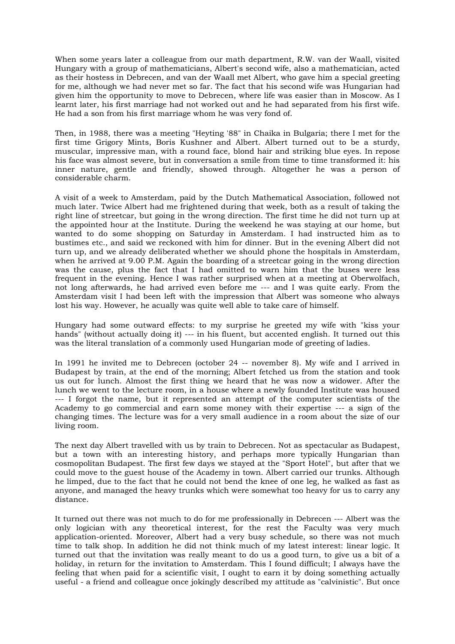When some years later a colleague from our math department, R.W. van der Waall, visited Hungary with a group of mathematicians, Albert's second wife, also a mathematician, acted as their hostess in Debrecen, and van der Waall met Albert, who gave him a special greeting for me, although we had never met so far. The fact that his second wife was Hungarian had given him the opportunity to move to Debrecen, where life was easier than in Moscow. As I learnt later, his first marriage had not worked out and he had separated from his first wife. He had a son from his first marriage whom he was very fond of.

Then, in 1988, there was a meeting "Heyting '88" in Chaika in Bulgaria; there I met for the first time Grigory Mints, Boris Kushner and Albert. Albert turned out to be a sturdy, muscular, impressive man, with a round face, blond hair and striking blue eyes. In repose his face was almost severe, but in conversation a smile from time to time transformed it: his inner nature, gentle and friendly, showed through. Altogether he was a person of considerable charm.

A visit of a week to Amsterdam, paid by the Dutch Mathematical Association, followed not much later. Twice Albert had me frightened during that week, both as a result of taking the right line of streetcar, but going in the wrong direction. The first time he did not turn up at the appointed hour at the Institute. During the weekend he was staying at our home, but wanted to do some shopping on Saturday in Amsterdam. I had instructed him as to bustimes etc., and said we reckoned with him for dinner. But in the evening Albert did not turn up, and we already deliberated whether we should phone the hospitals in Amsterdam, when he arrived at 9.00 P.M. Again the boarding of a streetcar going in the wrong direction was the cause, plus the fact that I had omitted to warn him that the buses were less frequent in the evening. Hence I was rather surprised when at a meeting at Oberwolfach, not long afterwards, he had arrived even before me --- and I was quite early. From the Amsterdam visit I had been left with the impression that Albert was someone who always lost his way. However, he acually was quite well able to take care of himself.

Hungary had some outward effects: to my surprise he greeted my wife with "kiss your hands" (without actually doing it) --- in his fluent, but accented english. It turned out this was the literal translation of a commonly used Hungarian mode of greeting of ladies.

In 1991 he invited me to Debrecen (october 24 -- november 8). My wife and I arrived in Budapest by train, at the end of the morning; Albert fetched us from the station and took us out for lunch. Almost the first thing we heard that he was now a widower. After the lunch we went to the lecture room, in a house where a newly founded Institute was housed --- I forgot the name, but it represented an attempt of the computer scientists of the Academy to go commercial and earn some money with their expertise --- a sign of the changing times. The lecture was for a very small audience in a room about the size of our living room.

The next day Albert travelled with us by train to Debrecen. Not as spectacular as Budapest, but a town with an interesting history, and perhaps more typically Hungarian than cosmopolitan Budapest. The first few days we stayed at the "Sport Hotel", but after that we could move to the guest house of the Academy in town. Albert carried our trunks. Although he limped, due to the fact that he could not bend the knee of one leg, he walked as fast as anyone, and managed the heavy trunks which were somewhat too heavy for us to carry any distance.

It turned out there was not much to do for me professionally in Debrecen --- Albert was the only logician with any theoretical interest, for the rest the Faculty was very much application-oriented. Moreover, Albert had a very busy schedule, so there was not much time to talk shop. In addition he did not think much of my latest interest: linear logic. It turned out that the invitation was really meant to do us a good turn, to give us a bit of a holiday, in return for the invitation to Amsterdam. This I found difficult; I always have the feeling that when paid for a scientific visit, I ought to earn it by doing something actually useful - a friend and colleague once jokingly described my attitude as "calvinistic". But once